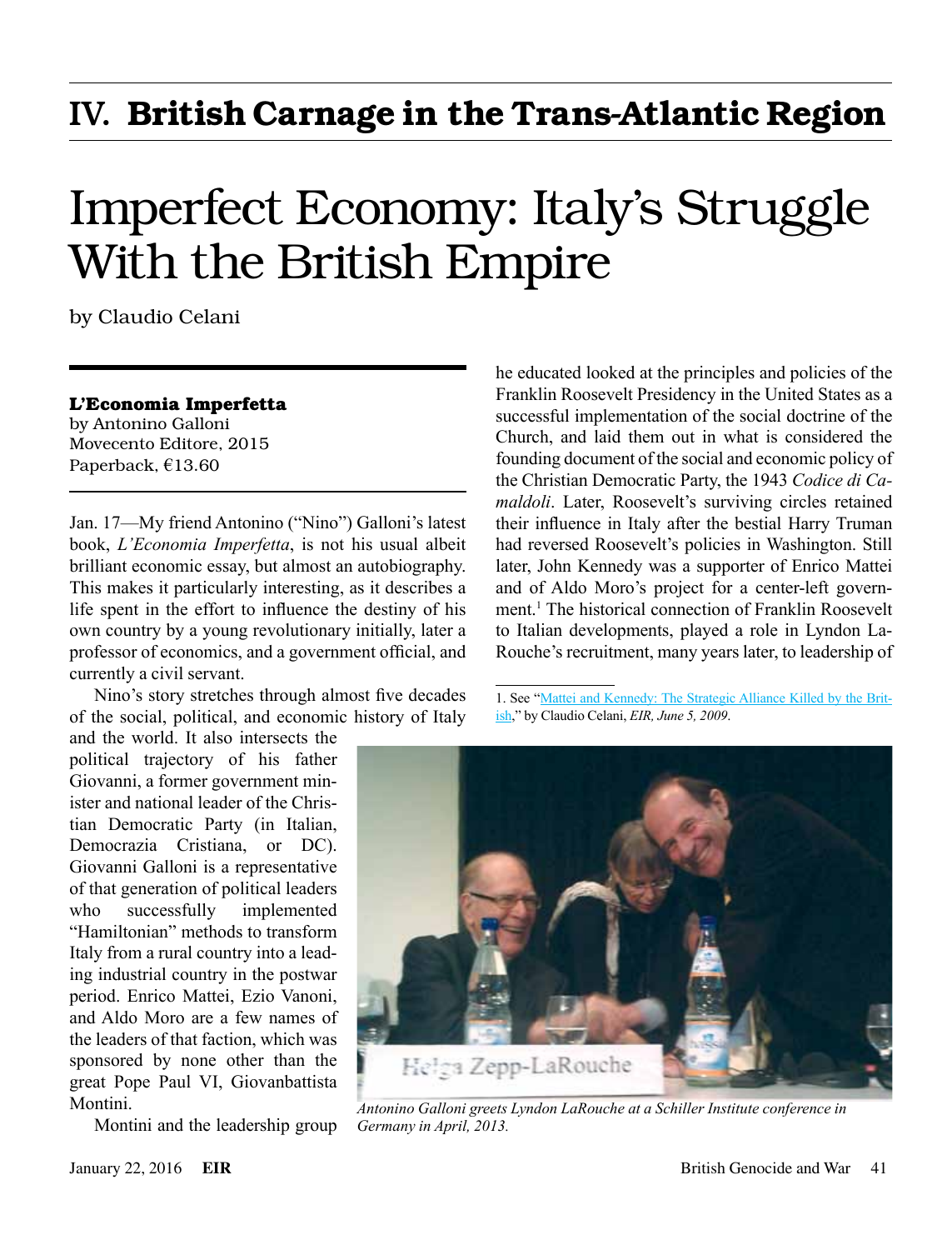# IV. British Carnage in the Trans-Atlantic Region

# Imperfect Economy: Italy's Struggle With the British Empire

by Claudio Celani

#### **L'Economia Imperfetta**

by Antonino Galloni Movecento Editore, 2015 Paperback, €13.60

Jan. 17—My friend Antonino ("Nino") Galloni's latest book, *L'Economia Imperfetta*, is not his usual albeit brilliant economic essay, but almost an autobiography. This makes it particularly interesting, as it describes a life spent in the effort to influence the destiny of his own country by a young revolutionary initially, later a professor of economics, and a government official, and currently a civil servant.

Nino's story stretches through almost five decades of the social, political, and economic history of Italy

and the world. It also intersects the political trajectory of his father Giovanni, a former government minister and national leader of the Christian Democratic Party (in Italian, Democrazia Cristiana, or DC). Giovanni Galloni is a representative of that generation of political leaders who successfully implemented "Hamiltonian" methods to transform Italy from a rural country into a leading industrial country in the postwar period. Enrico Mattei, Ezio Vanoni, and Aldo Moro are a few names of the leaders of that faction, which was sponsored by none other than the great Pope Paul VI, Giovanbattista Montini.

Montini and the leadership group

he educated looked at the principles and policies of the Franklin Roosevelt Presidency in the United States as a successful implementation of the social doctrine of the Church, and laid them out in what is considered the founding document of the social and economic policy of the Christian Democratic Party, the 1943 *Codice di Camaldoli*. Later, Roosevelt's surviving circles retained their influence in Italy after the bestial Harry Truman had reversed Roosevelt's policies in Washington. Still later, John Kennedy was a supporter of Enrico Mattei and of Aldo Moro's project for a center-left government.1 The historical connection of Franklin Roosevelt to Italian developments, played a role in Lyndon La-Rouche's recruitment, many years later, to leadership of

1. See "[Mattei and Kennedy: The Strategic Alliance Killed by the Brit](http://larouchepub.com/eiw/public/2009/2009_20-29/2009_20-29/2009-22/pdf/44-55_3622.pdf)[ish,](http://larouchepub.com/eiw/public/2009/2009_20-29/2009_20-29/2009-22/pdf/44-55_3622.pdf)" by Claudio Celani, *EIR, June 5, 2009*.



*Antonino Galloni greets Lyndon LaRouche at a Schiller Institute conference in Germany in April, 2013.*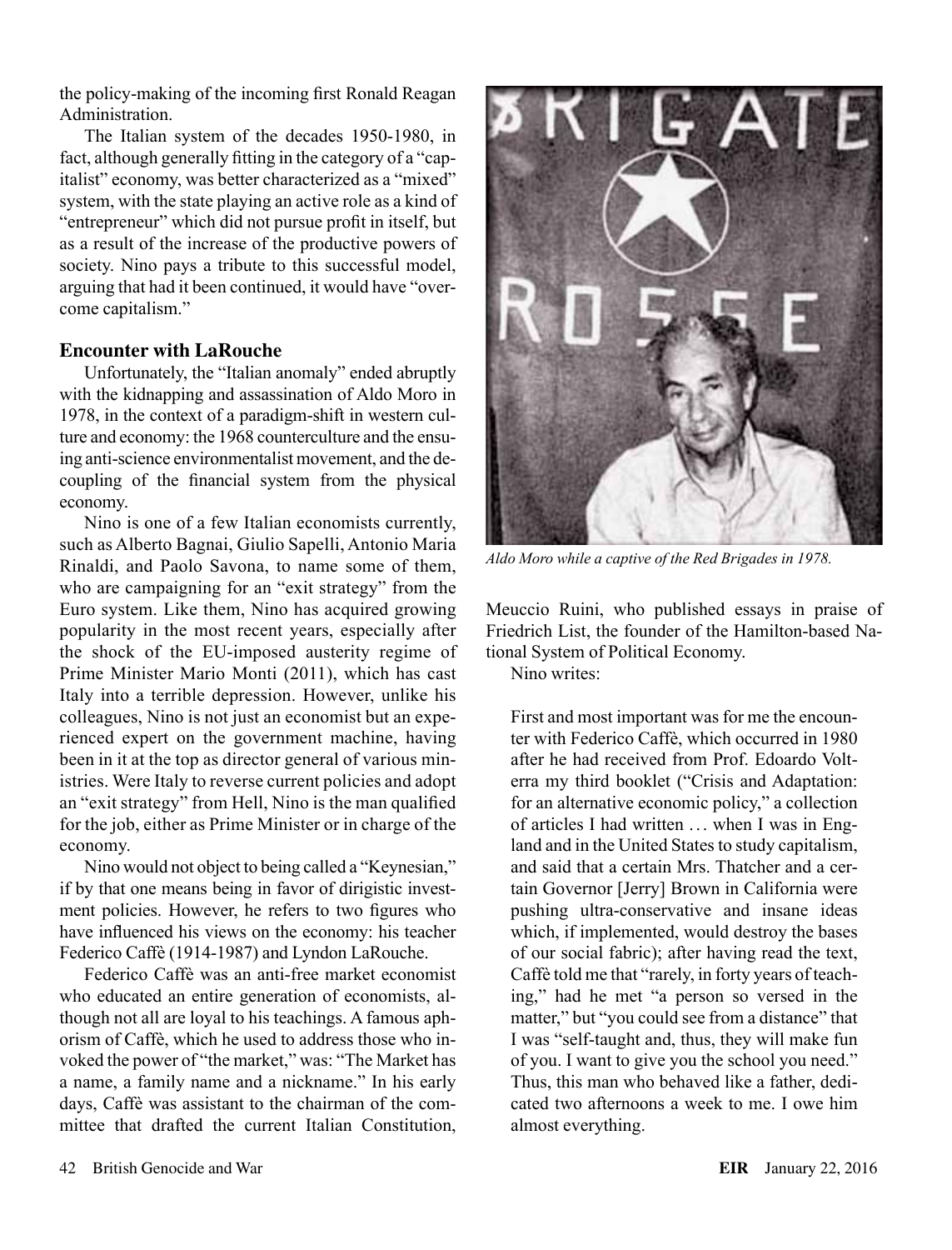the policy-making of the incoming first Ronald Reagan Administration.

The Italian system of the decades 1950-1980, in fact, although generally fitting in the category of a "capitalist" economy, was better characterized as a "mixed" system, with the state playing an active role as a kind of "entrepreneur" which did not pursue profit in itself, but as a result of the increase of the productive powers of society. Nino pays a tribute to this successful model, arguing that had it been continued, it would have "overcome capitalism."

## **Encounter with LaRouche**

Unfortunately, the "Italian anomaly" ended abruptly with the kidnapping and assassination of Aldo Moro in 1978, in the context of a paradigm-shift in western culture and economy: the 1968 counterculture and the ensuing anti-science environmentalist movement, and the decoupling of the financial system from the physical economy.

Nino is one of a few Italian economists currently, such as Alberto Bagnai, Giulio Sapelli, Antonio Maria Rinaldi, and Paolo Savona, to name some of them, who are campaigning for an "exit strategy" from the Euro system. Like them, Nino has acquired growing popularity in the most recent years, especially after the shock of the EU-imposed austerity regime of Prime Minister Mario Monti (2011), which has cast Italy into a terrible depression. However, unlike his colleagues, Nino is not just an economist but an experienced expert on the government machine, having been in it at the top as director general of various ministries. Were Italy to reverse current policies and adopt an "exit strategy" from Hell, Nino is the man qualified for the job, either as Prime Minister or in charge of the economy.

Nino would not object to being called a "Keynesian," if by that one means being in favor of dirigistic investment policies. However, he refers to two figures who have influenced his views on the economy: his teacher Federico Caffè (1914-1987) and Lyndon LaRouche.

Federico Caffè was an anti-free market economist who educated an entire generation of economists, although not all are loyal to his teachings. A famous aphorism of Caffè, which he used to address those who invoked the power of "the market," was: "The Market has a name, a family name and a nickname." In his early days, Caffè was assistant to the chairman of the committee that drafted the current Italian Constitution,



*Aldo Moro while a captive of the Red Brigades in 1978.*

Meuccio Ruini, who published essays in praise of Friedrich List, the founder of the Hamilton-based National System of Political Economy.

Nino writes:

First and most important was for me the encounter with Federico Caffè, which occurred in 1980 after he had received from Prof. Edoardo Volterra my third booklet ("Crisis and Adaptation: for an alternative economic policy," a collection of articles I had written ... when I was in England and in the United States to study capitalism, and said that a certain Mrs. Thatcher and a certain Governor [Jerry] Brown in California were pushing ultra-conservative and insane ideas which, if implemented, would destroy the bases of our social fabric); after having read the text, Caffè told me that "rarely, in forty years of teaching," had he met "a person so versed in the matter," but "you could see from a distance" that I was "self-taught and, thus, they will make fun of you. I want to give you the school you need." Thus, this man who behaved like a father, dedicated two afternoons a week to me. I owe him almost everything.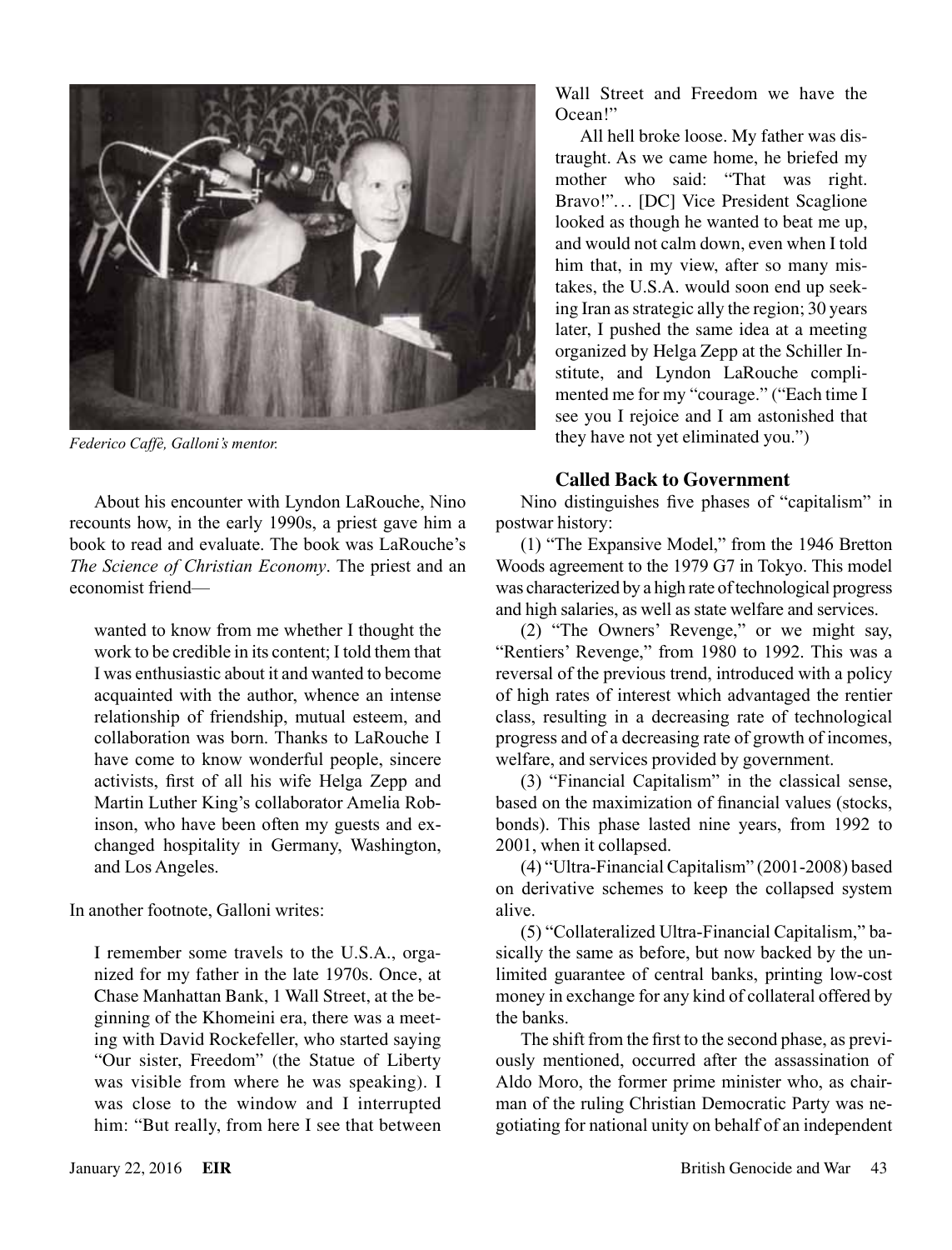

*Federico Caffè, Galloni's mentor.*

Wall Street and Freedom we have the Ocean!"

All hell broke loose. My father was distraught. As we came home, he briefed my mother who said: "That was right. Bravo!"... [DC] Vice President Scaglione looked as though he wanted to beat me up, and would not calm down, even when I told him that, in my view, after so many mistakes, the U.S.A. would soon end up seeking Iran as strategic ally the region; 30 years later, I pushed the same idea at a meeting organized by Helga Zepp at the Schiller Institute, and Lyndon LaRouche complimented me for my "courage." ("Each time I see you I rejoice and I am astonished that they have not yet eliminated you.")

### **Called Back to Government**

Nino distinguishes five phases of "capitalism" in postwar history:

(1) "The Expansive Model," from the 1946 Bretton Woods agreement to the 1979 G7 in Tokyo. This model was characterized by a high rate of technological progress and high salaries, as well as state welfare and services.

(2) "The Owners' Revenge," or we might say, "Rentiers' Revenge," from 1980 to 1992. This was a reversal of the previous trend, introduced with a policy of high rates of interest which advantaged the rentier class, resulting in a decreasing rate of technological progress and of a decreasing rate of growth of incomes, welfare, and services provided by government.

(3) "Financial Capitalism" in the classical sense, based on the maximization of financial values (stocks, bonds). This phase lasted nine years, from 1992 to 2001, when it collapsed.

(4) "Ultra-Financial Capitalism" (2001-2008) based on derivative schemes to keep the collapsed system alive.

(5) "Collateralized Ultra-Financial Capitalism," basically the same as before, but now backed by the unlimited guarantee of central banks, printing low-cost money in exchange for any kind of collateral offered by the banks.

The shift from the first to the second phase, as previously mentioned, occurred after the assassination of Aldo Moro, the former prime minister who, as chairman of the ruling Christian Democratic Party was negotiating for national unity on behalf of an independent

About his encounter with Lyndon LaRouche, Nino recounts how, in the early 1990s, a priest gave him a book to read and evaluate. The book was LaRouche's *The Science of Christian Economy*. The priest and an economist friend—

wanted to know from me whether I thought the work to be credible in its content; I told them that I was enthusiastic about it and wanted to become acquainted with the author, whence an intense relationship of friendship, mutual esteem, and collaboration was born. Thanks to LaRouche I have come to know wonderful people, sincere activists, first of all his wife Helga Zepp and Martin Luther King's collaborator Amelia Robinson, who have been often my guests and exchanged hospitality in Germany, Washington, and Los Angeles.

In another footnote, Galloni writes:

I remember some travels to the U.S.A., organized for my father in the late 1970s. Once, at Chase Manhattan Bank, 1 Wall Street, at the beginning of the Khomeini era, there was a meeting with David Rockefeller, who started saying "Our sister, Freedom" (the Statue of Liberty was visible from where he was speaking). I was close to the window and I interrupted him: "But really, from here I see that between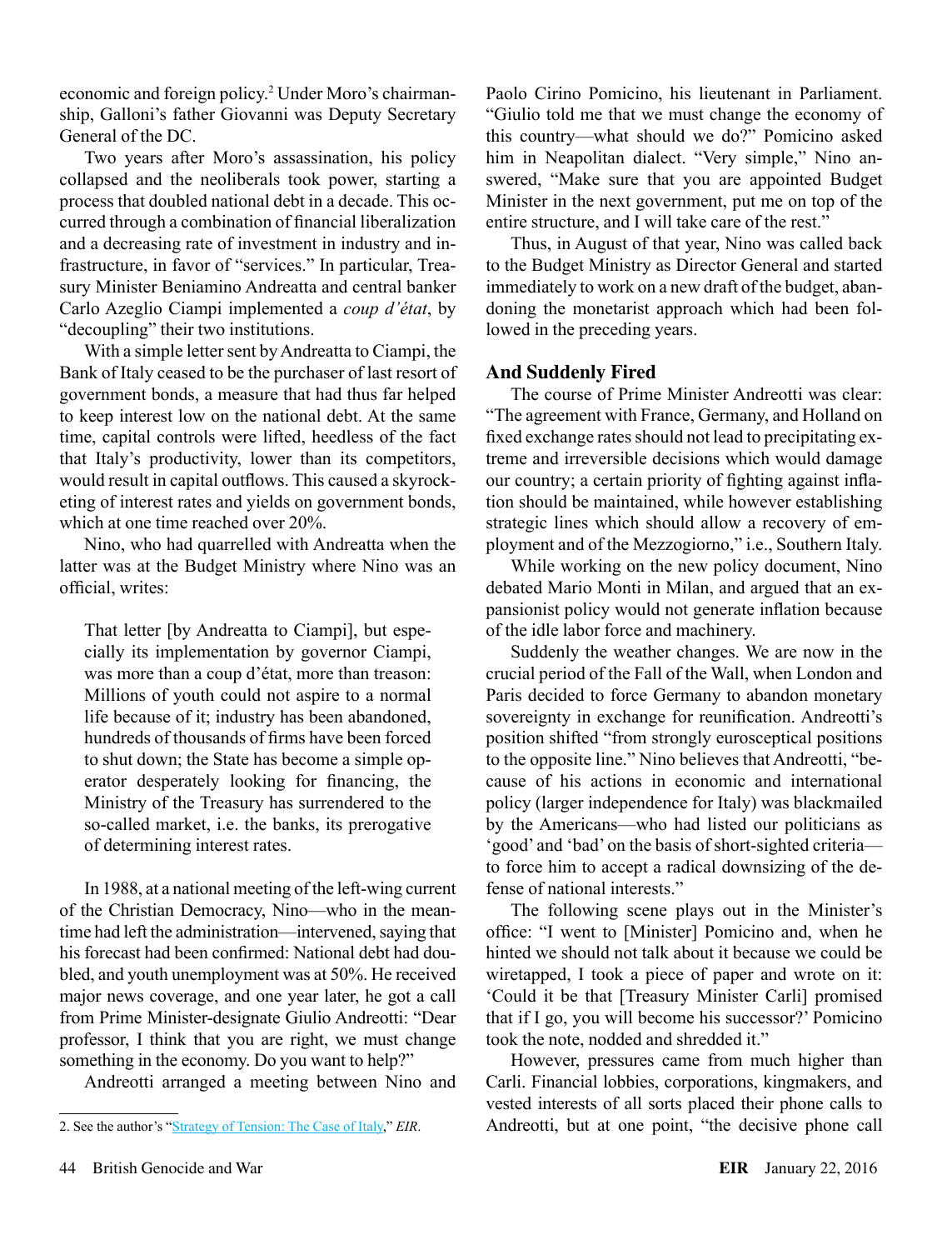economic and foreign policy.<sup>2</sup> Under Moro's chairmanship, Galloni's father Giovanni was Deputy Secretary General of the DC.

Two years after Moro's assassination, his policy collapsed and the neoliberals took power, starting a process that doubled national debt in a decade. This occurred through a combination of financial liberalization and a decreasing rate of investment in industry and infrastructure, in favor of "services." In particular, Treasury Minister Beniamino Andreatta and central banker Carlo Azeglio Ciampi implemented a *coup d'état*, by "decoupling" their two institutions.

With a simple letter sent by Andreatta to Ciampi, the Bank of Italy ceased to be the purchaser of last resort of government bonds, a measure that had thus far helped to keep interest low on the national debt. At the same time, capital controls were lifted, heedless of the fact that Italy's productivity, lower than its competitors, would result in capital outflows. This caused a skyrocketing of interest rates and yields on government bonds, which at one time reached over 20%.

Nino, who had quarrelled with Andreatta when the latter was at the Budget Ministry where Nino was an official, writes:

That letter [by Andreatta to Ciampi], but especially its implementation by governor Ciampi, was more than a coup d'état, more than treason: Millions of youth could not aspire to a normal life because of it; industry has been abandoned, hundreds of thousands of firms have been forced to shut down; the State has become a simple operator desperately looking for financing, the Ministry of the Treasury has surrendered to the so-called market, i.e. the banks, its prerogative of determining interest rates.

In 1988, at a national meeting of the left-wing current of the Christian Democracy, Nino—who in the meantime had left the administration—intervened, saying that his forecast had been confirmed: National debt had doubled, and youth unemployment was at 50%. He received major news coverage, and one year later, he got a call from Prime Minister-designate Giulio Andreotti: "Dear professor, I think that you are right, we must change something in the economy. Do you want to help?"

Andreotti arranged a meeting between Nino and

Paolo Cirino Pomicino, his lieutenant in Parliament. "Giulio told me that we must change the economy of this country—what should we do?" Pomicino asked him in Neapolitan dialect. "Very simple," Nino answered, "Make sure that you are appointed Budget Minister in the next government, put me on top of the entire structure, and I will take care of the rest."

Thus, in August of that year, Nino was called back to the Budget Ministry as Director General and started immediately to work on a new draft of the budget, abandoning the monetarist approach which had been followed in the preceding years.

### **And Suddenly Fired**

The course of Prime Minister Andreotti was clear: "The agreement with France, Germany, and Holland on fixed exchange rates should not lead to precipitating extreme and irreversible decisions which would damage our country; a certain priority of fighting against inflation should be maintained, while however establishing strategic lines which should allow a recovery of employment and of the Mezzogiorno," i.e., Southern Italy.

While working on the new policy document, Nino debated Mario Monti in Milan, and argued that an expansionist policy would not generate inflation because of the idle labor force and machinery.

Suddenly the weather changes. We are now in the crucial period of the Fall of the Wall, when London and Paris decided to force Germany to abandon monetary sovereignty in exchange for reunification. Andreotti's position shifted "from strongly eurosceptical positions to the opposite line." Nino believes that Andreotti, "because of his actions in economic and international policy (larger independence for Italy) was blackmailed by the Americans—who had listed our politicians as 'good' and 'bad' on the basis of short-sighted criteria to force him to accept a radical downsizing of the defense of national interests."

The following scene plays out in the Minister's office: "I went to [Minister] Pomicino and, when he hinted we should not talk about it because we could be wiretapped, I took a piece of paper and wrote on it: 'Could it be that [Treasury Minister Carli] promised that if I go, you will become his successor?' Pomicino took the note, nodded and shredded it."

However, pressures came from much higher than Carli. Financial lobbies, corporations, kingmakers, and vested interests of all sorts placed their phone calls to Andreotti, but at one point, "the decisive phone call

<sup>2.</sup> See the author's ["Strategy of Tension: The Case of Italy,](http://www.larouchepub.com/other/2004/3117tension_italy.html)" *EIR*.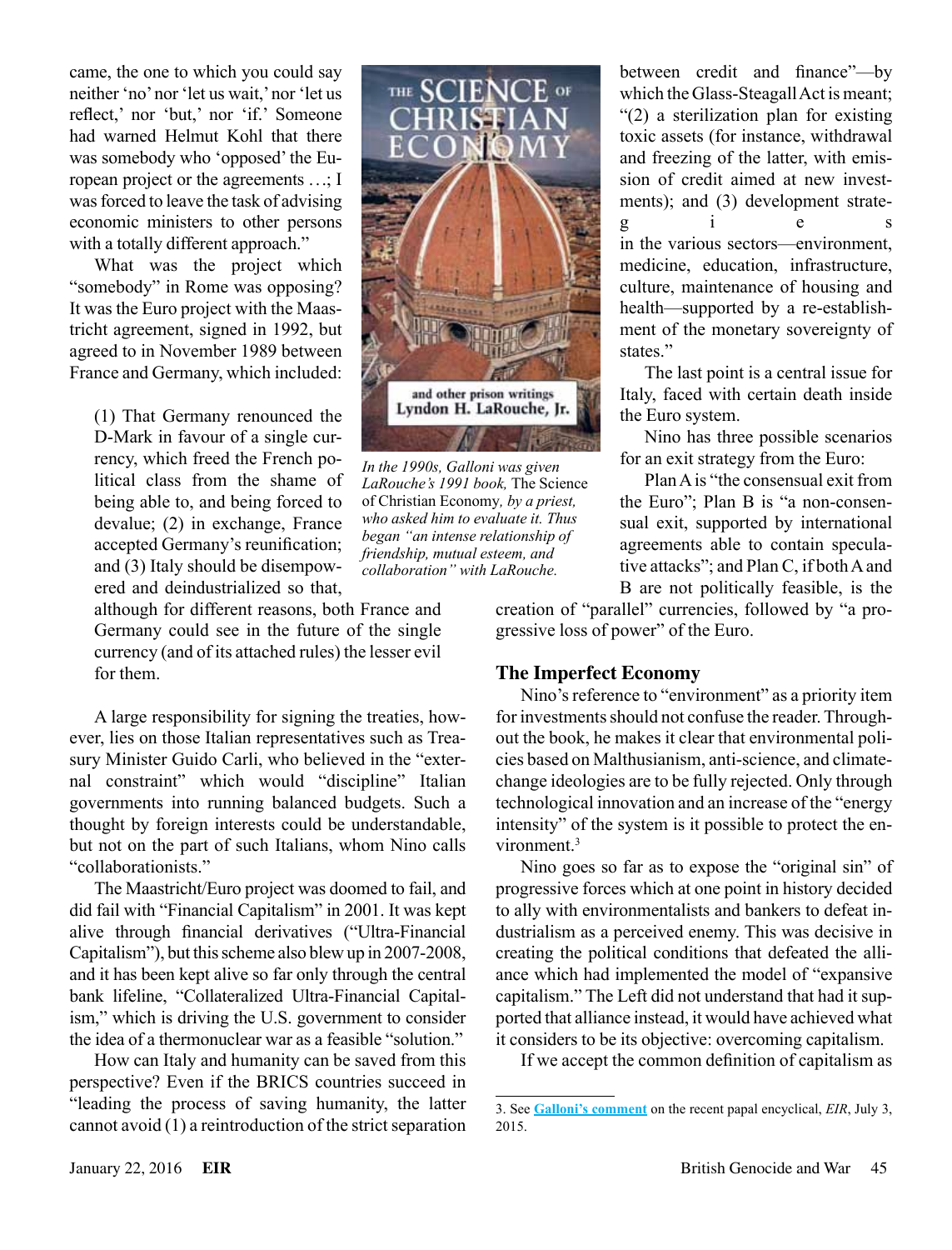came, the one to which you could say neither 'no' nor 'let us wait,' nor 'let us reflect,' nor 'but,' nor 'if.' Someone had warned Helmut Kohl that there was somebody who 'opposed' the European project or the agreements ...; I was forced to leave the task of advising economic ministers to other persons with a totally different approach."

What was the project which "somebody" in Rome was opposing? It was the Euro project with the Maastricht agreement, signed in 1992, but agreed to in November 1989 between France and Germany, which included:

(1) That Germany renounced the D-Mark in favour of a single currency, which freed the French political class from the shame of being able to, and being forced to devalue; (2) in exchange, France accepted Germany's reunification; and (3) Italy should be disempowered and deindustrialized so that,

although for different reasons, both France and Germany could see in the future of the single currency (and of its attached rules) the lesser evil for them.

A large responsibility for signing the treaties, however, lies on those Italian representatives such as Treasury Minister Guido Carli, who believed in the "external constraint" which would "discipline" Italian governments into running balanced budgets. Such a thought by foreign interests could be understandable, but not on the part of such Italians, whom Nino calls "collaborationists."

The Maastricht/Euro project was doomed to fail, and did fail with "Financial Capitalism" in 2001. It was kept alive through financial derivatives ("Ultra-Financial Capitalism"), but this scheme also blew up in 2007-2008, and it has been kept alive so far only through the central bank lifeline, "Collateralized Ultra-Financial Capitalism," which is driving the U.S. government to consider the idea of a thermonuclear war as a feasible "solution."

How can Italy and humanity can be saved from this perspective? Even if the BRICS countries succeed in "leading the process of saving humanity, the latter cannot avoid (1) a reintroduction of the strict separation



*In the 1990s, Galloni was given LaRouche's 1991 book,* The Science of Christian Economy*, by a priest, who asked him to evaluate it. Thus began "an intense relationship of friendship, mutual esteem, and collaboration" with LaRouche.*

between credit and finance"—by which the Glass-Steagall Act is meant; "(2) a sterilization plan for existing toxic assets (for instance, withdrawal and freezing of the latter, with emission of credit aimed at new investments); and (3) development strateg i e s in the various sectors—environment, medicine, education, infrastructure, culture, maintenance of housing and health—supported by a re-establishment of the monetary sovereignty of states."

The last point is a central issue for Italy, faced with certain death inside the Euro system.

Nino has three possible scenarios for an exit strategy from the Euro:

Plan A is "the consensual exit from the Euro"; Plan B is "a non-consensual exit, supported by international agreements able to contain speculative attacks"; and Plan C, if both A and B are not politically feasible, is the

creation of "parallel" currencies, followed by "a progressive loss of power" of the Euro.

#### **The Imperfect Economy**

Nino's reference to "environment" as a priority item for investments should not confuse the reader. Throughout the book, he makes it clear that environmental policies based on Malthusianism, anti-science, and climatechange ideologies are to be fully rejected. Only through technological innovation and an increase of the "energy intensity" of the system is it possible to protect the environment.<sup>3</sup>

Nino goes so far as to expose the "original sin" of progressive forces which at one point in history decided to ally with environmentalists and bankers to defeat industrialism as a perceived enemy. This was decisive in creating the political conditions that defeated the alliance which had implemented the model of "expansive capitalism." The Left did not understand that had it supported that alliance instead, it would have achieved what it considers to be its objective: overcoming capitalism.

If we accept the common definition of capitalism as

<sup>3.</sup> See **[Galloni's comment](http://larouchepub.com/eiw/public/2015/eirv42n27-20150703/26-27_4227.pdf)** on the recent papal encyclical, *EIR*, July 3, 2015.